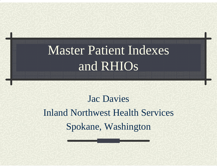# Master Patient Indexes and RHIOs

#### Jac Davies Inland Northwest Health Services Spokane, Washington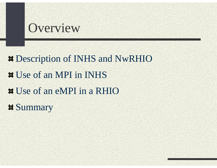## Overview

**# Description of INHS and NwRHIO** Use of an MPI in INHS $\blacksquare$  Use of an eMPI in a RHIO  $\blacksquare$  Summary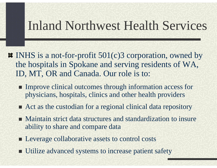#### Inland Northwest Health Services

- $\blacksquare$  INHS is a not-for-profit 501(c)3 corporation, owned by the hospitals in Spokane and serving residents of WA, ID, MT, OR and Canada. Our role is to:
	- **Improve clinical outcomes through information access for** physicians, hospitals, clinics and other health providers
	- Act as the custodian for a regional clinical data repository
	- Maintain strict data structures and standardization to insure ability to share and compare data
	- **Leverage collaborative assets to control costs**
	- **Utilize advanced systems to increase patient safety**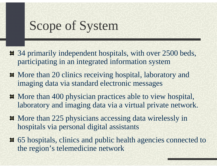## Scope of System

- 34 primarily independent hospitals, with over 2500 beds, participating in an integrated information system
- $\blacksquare$  More than 20 clinics receiving hospital, laboratory and imaging data via standard electronic messages
- $\blacksquare$  More than 400 physician practices able to view hospital, laboratory and imaging data via a virtual private network.
- $\blacksquare$  More than 225 physicians accessing data wirelessly in hospitals via personal digital assistants
- 65 hospitals, clinics and public health agencies connected to the region's telemedicine network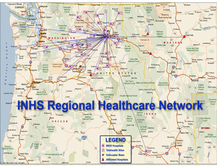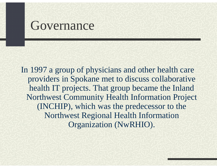#### Governance

In 1997 a group of physicians and other health care providers in Spokane met to discuss collaborative health IT projects. That group became the Inland Northwest Community Health Information Project (INCHIP), which was the predecessor to the Northwest Regional Health Information Organization (NwRHIO).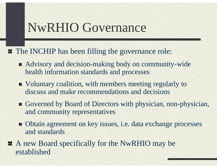#### NwRHIO Governance

- $\blacksquare$  The INCHIP has been filling the governance role:
	- Advisory and decision-making body on community-wide health information standards and processes
	- Voluntary coalition, with members meeting regularly to discuss and make recommendations and decisions
	- Governed by Board of Directors with physician, non-physician, and community representatives
	- Obtain agreement on key issues, i.e. data exchange processes and standards
- A new Board specifically for the NwRHIO may be established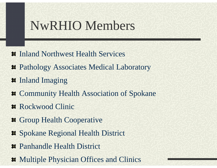## NwRHIO Members

- $\blacksquare$  Inland Northwest Health Services
- $\blacktriangleright$  **Pathology Associates Medical Laboratory**
- $\blacksquare$  Inland Imaging
- $\blacksquare$  Community Health Association of Spokane
- Rockwood Clinic
- **Example 1** Group Health Cooperative
- Spokane Regional Health District
- Panhandle Health District
- $\blacksquare$  Multiple Physician Offices and Clinics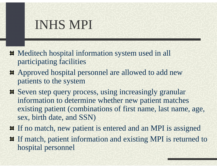- Meditech hospital information system used in all participating facilities
- Approved hospital personnel are allowed to add new patients to the system
- Seven step query process, using increasingly granular information to determine whether new patient matches existing patient (combinations of first name, last name, age, sex, birth date, and SSN)
- **If ho match, new patient is entered and an MPI is assigned**
- If match, patient information and existing MPI is returned to hospital personnel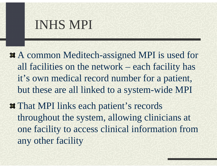- $\blacktriangleright$  **A common Meditech-assigned MPI is used for** all facilities on the network – each facility has it's own medical record number for a patient, but these are all linked to a system-wide MPI
- **# That MPI links each patient's records** throughout the system, allowing clinicians at one facility to access clinical information from any other facility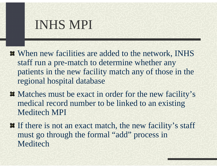- $\blacksquare$  When new facilities are added to the network, INHS staff run a pre-match to determine whether any patients in the new facility match any of those in the regional hospital database
- $\blacksquare$  Matches must be exact in order for the new facility's medical record number to be linked to an existing Meditech MPI
- $\blacksquare$  If there is not an exact match, the new facility's staff must go through the formal "add" process in Meditech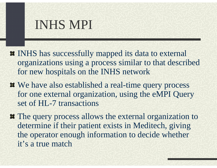- **INHS** has successfully mapped its data to external organizations using a process similar to that described for new hospitals on the INHS network
- $\blacksquare$  We have also established a real-time query process for one external organization, using the eMPI Query set of HL-7 transactions
- $\blacksquare$  The query process allows the external organization to determine if their patient exists in Meditech, giving the operator enough information to decide whether it's a true match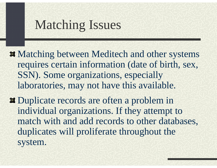## Matching Issues

- $\blacksquare$  Matching between Meditech and other systems requires certain information (date of birth, sex, SSN). Some organizations, especially laboratories, may not have this available.
- $\blacksquare$  Duplicate records are often a problem in individual organizations. If they attempt to match with and add records to other databases, duplicates will proliferate throughout the system.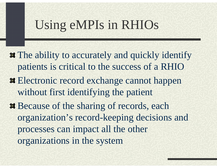## Using eMPIs in RHIOs

- **The ability to accurately and quickly identify** patients is critical to the success of a RHIO
- **Electronic record exchange cannot happen** without first identifying the patient
- $\bullet$  **Because of the sharing of records, each** organization's record-keeping decisions and processes can impact all the other organizations in the system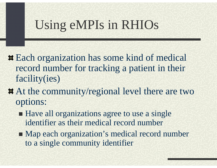## Using eMPIs in RHIOs

- **Each organization has some kind of medical** record number for tracking a patient in their facility(ies)
- $\blacktriangleright$  **At the community/regional level there are two** options:
	- Have all organizations agree to use a single identifier as their medical record number
	- Map each organization's medical record number to a single community identifier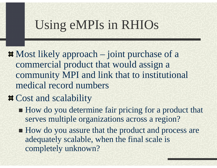## Using eMPIs in RHIOs

 $\blacksquare$  Most likely approach – joint purchase of a commercial product that would assign a community MPI and link that to institutional medical record numbers

#### $\blacksquare$  Cost and scalability

- How do you determine fair pricing for a product that serves multiple organizations across a region?
- How do you assure that the product and process are adequately scalable, when the final scale is completely unknown?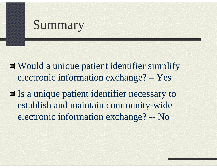## Summary

- $\blacksquare$  Would a unique patient identifier simplify electronic information exchange? – Yes
- **If** Is a unique patient identifier necessary to establish and maintain community-wide electronic information exchange? -- No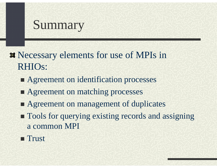## Summary

**Necessary elements for use of MPIs in** RHIOs:

- **Agreement on identification processes**
- **Example 2 Agreement on matching processes**
- **Example 2 Agreement on management of duplicates**
- **Tools for querying existing records and assigning** a common MPI
- **Trust**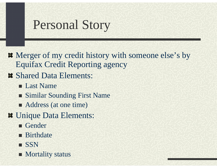# Personal Story

- $\blacksquare$  Merger of my credit history with someone else's by Equifax Credit Reporting agency
- $\blacksquare$  Shared Data Elements:
	- **Last Name**
	- **Similar Sounding First Name**
	- Address (at one time)
- $\blacksquare$  Unique Data Elements:
	- Gender
	- **Birthdate**
	- **SSN**
	- **Mortality status**